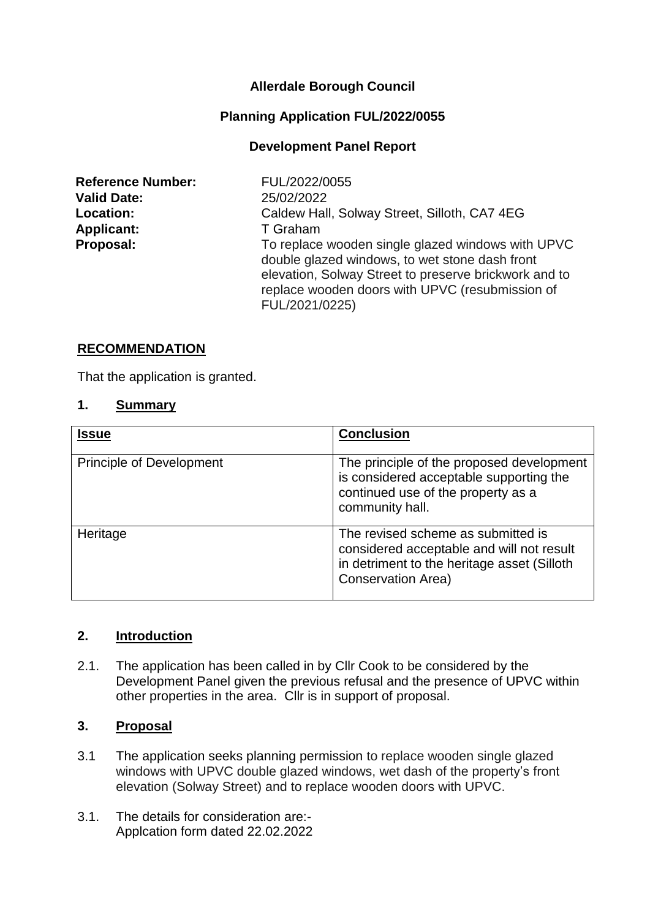# **Allerdale Borough Council**

### **Planning Application FUL/2022/0055**

### **Development Panel Report**

**Reference Number:** FUL/2022/0055 **Valid Date:** 25/02/2022 Applicant: T Graham

**Location:** Caldew Hall, Solway Street, Silloth, CA7 4EG **Proposal:** To replace wooden single glazed windows with UPVC double glazed windows, to wet stone dash front elevation, Solway Street to preserve brickwork and to replace wooden doors with UPVC (resubmission of FUL/2021/0225)

### **RECOMMENDATION**

That the application is granted.

### **1. Summary**

| <b>Issue</b>                    | <b>Conclusion</b>                                                                                                                                           |
|---------------------------------|-------------------------------------------------------------------------------------------------------------------------------------------------------------|
| <b>Principle of Development</b> | The principle of the proposed development<br>is considered acceptable supporting the<br>continued use of the property as a<br>community hall.               |
| Heritage                        | The revised scheme as submitted is<br>considered acceptable and will not result<br>in detriment to the heritage asset (Silloth<br><b>Conservation Area)</b> |

#### **2. Introduction**

2.1. The application has been called in by Cllr Cook to be considered by the Development Panel given the previous refusal and the presence of UPVC within other properties in the area. Cllr is in support of proposal.

#### **3. Proposal**

- 3.1 The application seeks planning permission to replace wooden single glazed windows with UPVC double glazed windows, wet dash of the property's front elevation (Solway Street) and to replace wooden doors with UPVC.
- 3.1. The details for consideration are:- Applcation form dated 22.02.2022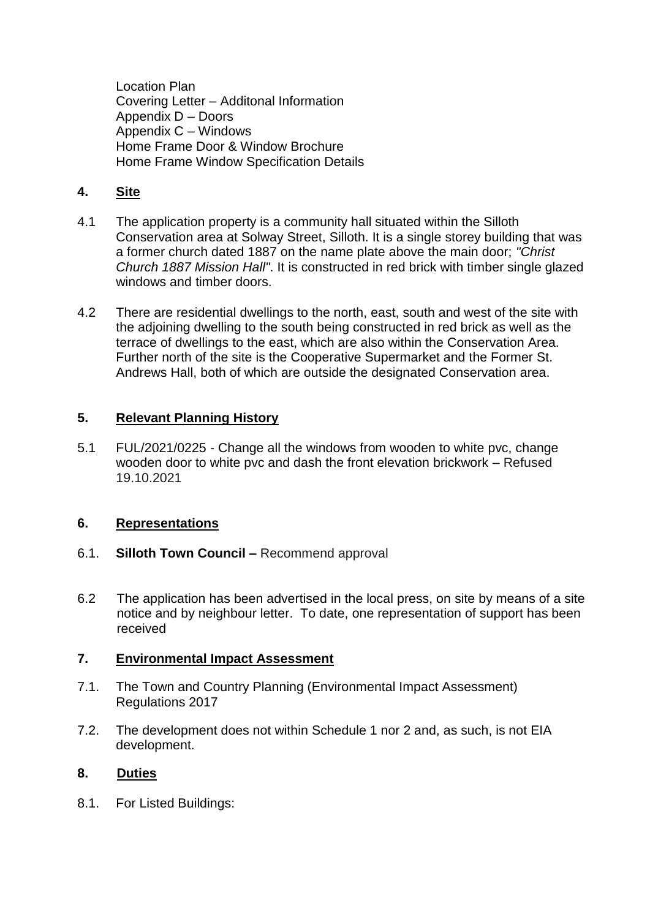Location Plan Covering Letter – Additonal Information Appendix D – Doors Appendix C – Windows Home Frame Door & Window Brochure Home Frame Window Specification Details

# **4. Site**

- 4.1 The application property is a community hall situated within the Silloth Conservation area at Solway Street, Silloth. It is a single storey building that was a former church dated 1887 on the name plate above the main door; *"Christ Church 1887 Mission Hall"*. It is constructed in red brick with timber single glazed windows and timber doors.
- 4.2 There are residential dwellings to the north, east, south and west of the site with the adjoining dwelling to the south being constructed in red brick as well as the terrace of dwellings to the east, which are also within the Conservation Area. Further north of the site is the Cooperative Supermarket and the Former St. Andrews Hall, both of which are outside the designated Conservation area.

# **5. Relevant Planning History**

5.1 FUL/2021/0225 - Change all the windows from wooden to white pvc, change wooden door to white pvc and dash the front elevation brickwork – Refused 19.10.2021

## **6. Representations**

- 6.1. **Silloth Town Council –** Recommend approval
- 6.2 The application has been advertised in the local press, on site by means of a site notice and by neighbour letter. To date, one representation of support has been received

## **7. Environmental Impact Assessment**

- 7.1. The Town and Country Planning (Environmental Impact Assessment) Regulations 2017
- 7.2. The development does not within Schedule 1 nor 2 and, as such, is not EIA development.

## **8. Duties**

8.1. For Listed Buildings: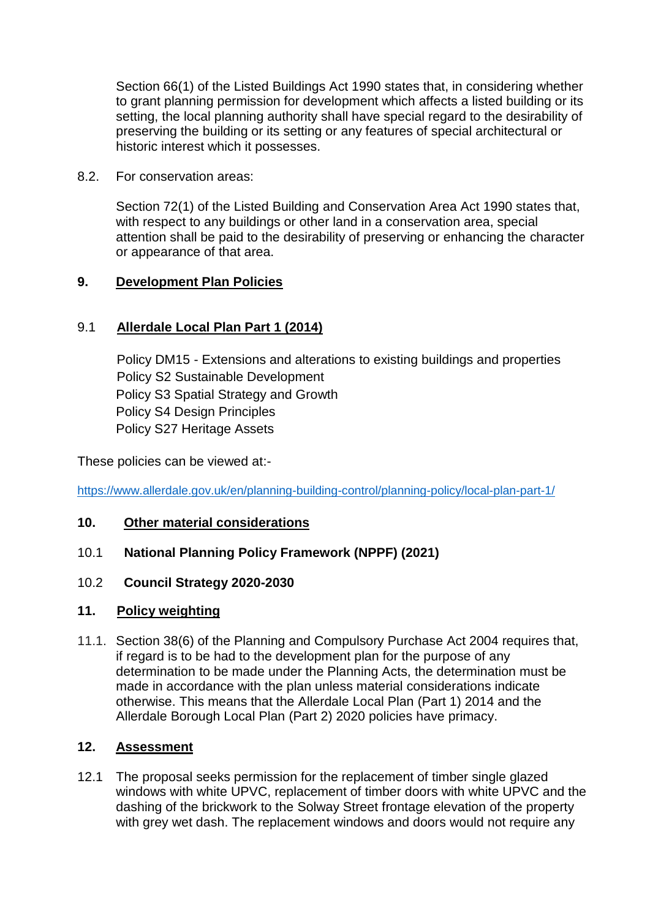Section 66(1) of the Listed Buildings Act 1990 states that, in considering whether to grant planning permission for development which affects a listed building or its setting, the local planning authority shall have special regard to the desirability of preserving the building or its setting or any features of special architectural or historic interest which it possesses.

8.2. For conservation areas:

Section 72(1) of the Listed Building and Conservation Area Act 1990 states that, with respect to any buildings or other land in a conservation area, special attention shall be paid to the desirability of preserving or enhancing the character or appearance of that area.

## **9. Development Plan Policies**

# 9.1 **Allerdale Local Plan Part 1 (2014)**

Policy DM15 - Extensions and alterations to existing buildings and properties Policy S2 Sustainable Development Policy S3 Spatial Strategy and Growth Policy S4 Design Principles Policy S27 Heritage Assets

These policies can be viewed at:-

<https://www.allerdale.gov.uk/en/planning-building-control/planning-policy/local-plan-part-1/>

## **10. Other material considerations**

10.1 **National Planning Policy Framework (NPPF) (2021)**

## 10.2 **Council Strategy 2020-2030**

## **11. Policy weighting**

11.1. Section 38(6) of the Planning and Compulsory Purchase Act 2004 requires that, if regard is to be had to the development plan for the purpose of any determination to be made under the Planning Acts, the determination must be made in accordance with the plan unless material considerations indicate otherwise. This means that the Allerdale Local Plan (Part 1) 2014 and the Allerdale Borough Local Plan (Part 2) 2020 policies have primacy.

#### **12. Assessment**

12.1 The proposal seeks permission for the replacement of timber single glazed windows with white UPVC, replacement of timber doors with white UPVC and the dashing of the brickwork to the Solway Street frontage elevation of the property with grey wet dash. The replacement windows and doors would not require any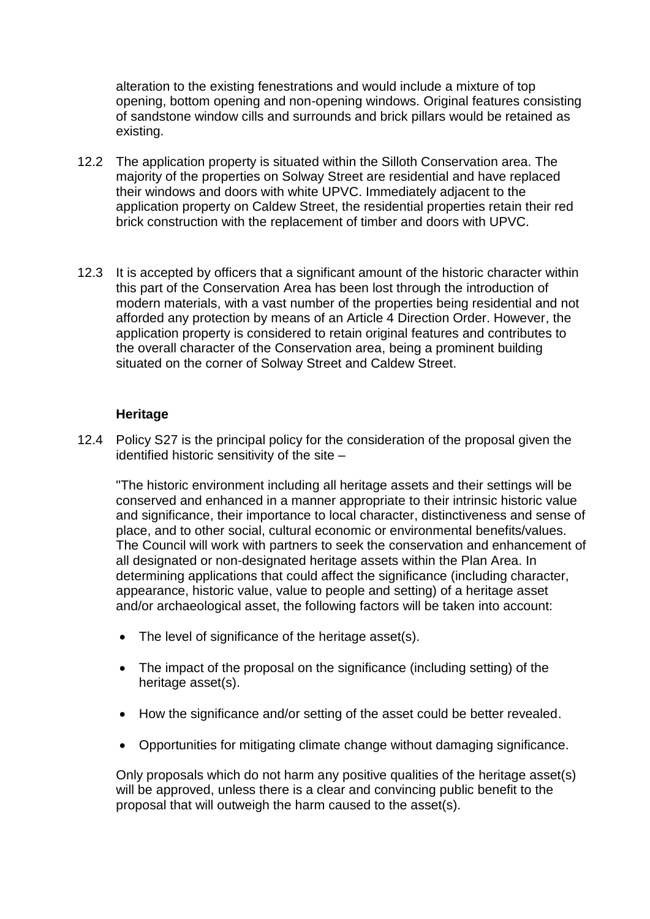alteration to the existing fenestrations and would include a mixture of top opening, bottom opening and non-opening windows. Original features consisting of sandstone window cills and surrounds and brick pillars would be retained as existing.

- 12.2 The application property is situated within the Silloth Conservation area. The majority of the properties on Solway Street are residential and have replaced their windows and doors with white UPVC. Immediately adjacent to the application property on Caldew Street, the residential properties retain their red brick construction with the replacement of timber and doors with UPVC.
- 12.3 It is accepted by officers that a significant amount of the historic character within this part of the Conservation Area has been lost through the introduction of modern materials, with a vast number of the properties being residential and not afforded any protection by means of an Article 4 Direction Order. However, the application property is considered to retain original features and contributes to the overall character of the Conservation area, being a prominent building situated on the corner of Solway Street and Caldew Street.

#### **Heritage**

12.4 Policy S27 is the principal policy for the consideration of the proposal given the identified historic sensitivity of the site –

"The historic environment including all heritage assets and their settings will be conserved and enhanced in a manner appropriate to their intrinsic historic value and significance, their importance to local character, distinctiveness and sense of place, and to other social, cultural economic or environmental benefits/values. The Council will work with partners to seek the conservation and enhancement of all designated or non-designated heritage assets within the Plan Area. In determining applications that could affect the significance (including character, appearance, historic value, value to people and setting) of a heritage asset and/or archaeological asset, the following factors will be taken into account:

- The level of significance of the heritage asset(s).
- The impact of the proposal on the significance (including setting) of the heritage asset(s).
- How the significance and/or setting of the asset could be better revealed.
- Opportunities for mitigating climate change without damaging significance.

Only proposals which do not harm any positive qualities of the heritage asset(s) will be approved, unless there is a clear and convincing public benefit to the proposal that will outweigh the harm caused to the asset(s).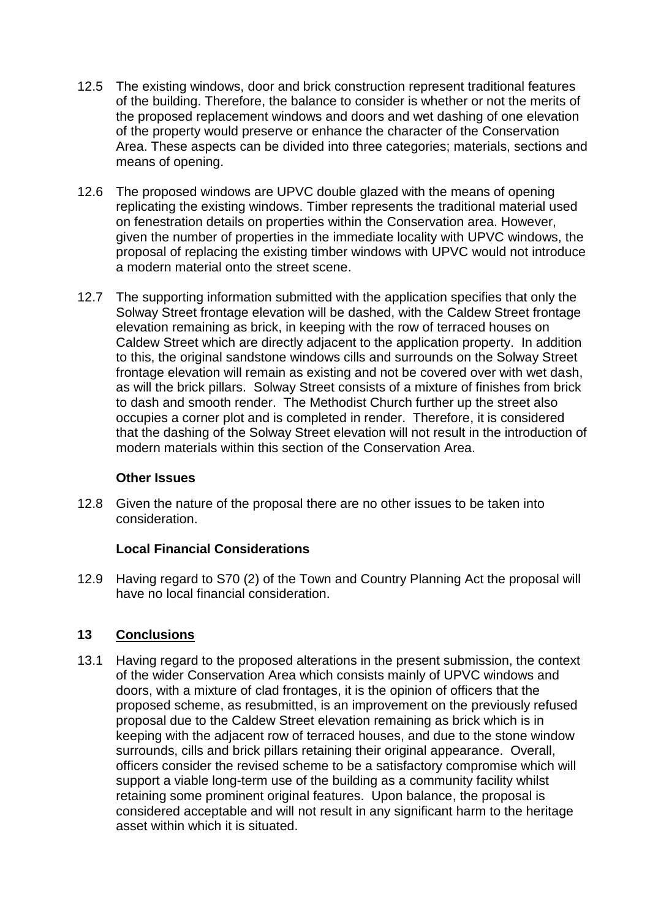- 12.5 The existing windows, door and brick construction represent traditional features of the building. Therefore, the balance to consider is whether or not the merits of the proposed replacement windows and doors and wet dashing of one elevation of the property would preserve or enhance the character of the Conservation Area. These aspects can be divided into three categories; materials, sections and means of opening.
- 12.6 The proposed windows are UPVC double glazed with the means of opening replicating the existing windows. Timber represents the traditional material used on fenestration details on properties within the Conservation area. However, given the number of properties in the immediate locality with UPVC windows, the proposal of replacing the existing timber windows with UPVC would not introduce a modern material onto the street scene.
- 12.7 The supporting information submitted with the application specifies that only the Solway Street frontage elevation will be dashed, with the Caldew Street frontage elevation remaining as brick, in keeping with the row of terraced houses on Caldew Street which are directly adjacent to the application property. In addition to this, the original sandstone windows cills and surrounds on the Solway Street frontage elevation will remain as existing and not be covered over with wet dash, as will the brick pillars. Solway Street consists of a mixture of finishes from brick to dash and smooth render. The Methodist Church further up the street also occupies a corner plot and is completed in render. Therefore, it is considered that the dashing of the Solway Street elevation will not result in the introduction of modern materials within this section of the Conservation Area.

#### **Other Issues**

12.8 Given the nature of the proposal there are no other issues to be taken into consideration.

## **Local Financial Considerations**

12.9 Having regard to S70 (2) of the Town and Country Planning Act the proposal will have no local financial consideration.

## **13 Conclusions**

13.1 Having regard to the proposed alterations in the present submission, the context of the wider Conservation Area which consists mainly of UPVC windows and doors, with a mixture of clad frontages, it is the opinion of officers that the proposed scheme, as resubmitted, is an improvement on the previously refused proposal due to the Caldew Street elevation remaining as brick which is in keeping with the adjacent row of terraced houses, and due to the stone window surrounds, cills and brick pillars retaining their original appearance. Overall, officers consider the revised scheme to be a satisfactory compromise which will support a viable long-term use of the building as a community facility whilst retaining some prominent original features. Upon balance, the proposal is considered acceptable and will not result in any significant harm to the heritage asset within which it is situated.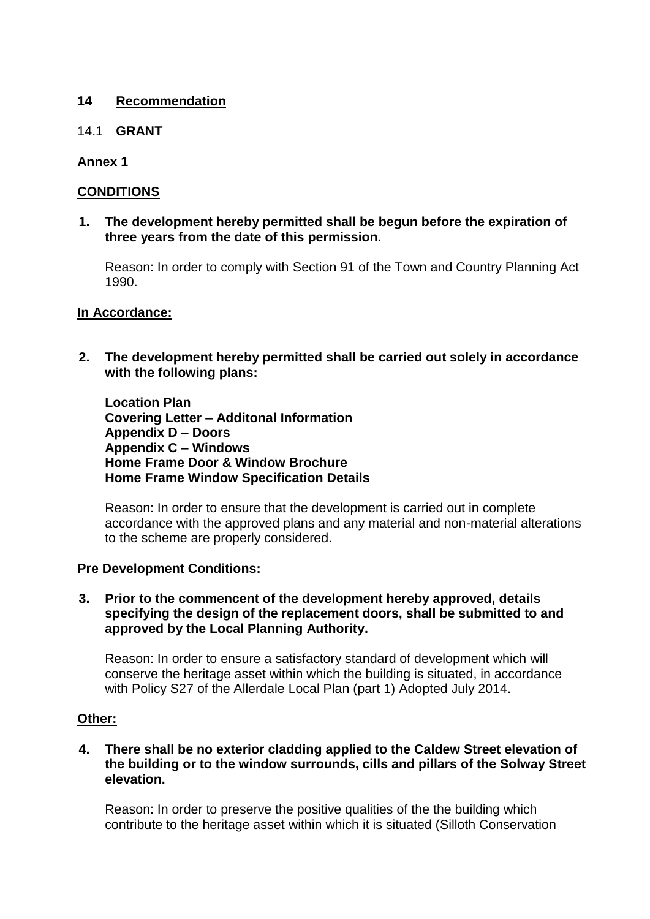### **14 Recommendation**

#### 14.1 **GRANT**

### **Annex 1**

## **CONDITIONS**

**1. The development hereby permitted shall be begun before the expiration of three years from the date of this permission.**

Reason: In order to comply with Section 91 of the Town and Country Planning Act 1990.

#### **In Accordance:**

**2. The development hereby permitted shall be carried out solely in accordance with the following plans:**

**Location Plan Covering Letter – Additonal Information Appendix D – Doors Appendix C – Windows Home Frame Door & Window Brochure Home Frame Window Specification Details**

Reason: In order to ensure that the development is carried out in complete accordance with the approved plans and any material and non-material alterations to the scheme are properly considered.

#### **Pre Development Conditions:**

#### **3. Prior to the commencent of the development hereby approved, details specifying the design of the replacement doors, shall be submitted to and approved by the Local Planning Authority.**

Reason: In order to ensure a satisfactory standard of development which will conserve the heritage asset within which the building is situated, in accordance with Policy S27 of the Allerdale Local Plan (part 1) Adopted July 2014.

#### **Other:**

**4. There shall be no exterior cladding applied to the Caldew Street elevation of the building or to the window surrounds, cills and pillars of the Solway Street elevation.** 

Reason: In order to preserve the positive qualities of the the building which contribute to the heritage asset within which it is situated (Silloth Conservation